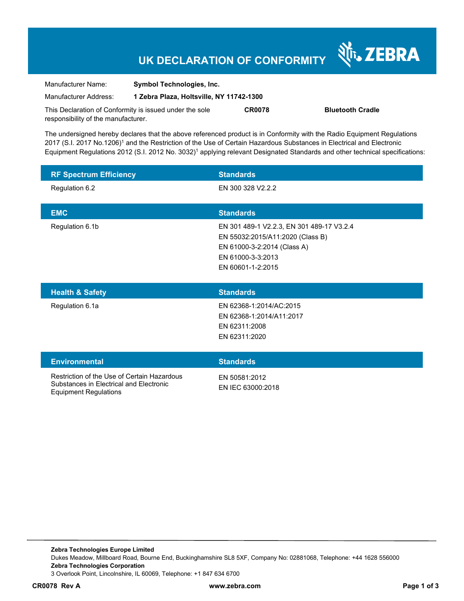# **UK DECLARATION OF CONFORMITY**

Nr. ZEBRA

| Manufacturer Name:                                      | <b>Symbol Technologies, Inc.</b>         |               |                         |
|---------------------------------------------------------|------------------------------------------|---------------|-------------------------|
| Manufacturer Address:                                   | 1 Zebra Plaza, Holtsville, NY 11742-1300 |               |                         |
| This Declaration of Conformity is issued under the sole |                                          | <b>CR0078</b> | <b>Bluetooth Cradle</b> |
| responsibility of the manufacturer.                     |                                          |               |                         |

The undersigned hereby declares that the above referenced product is in Conformity with the Radio Equipment Regulations 2017 (S.I. 2017 No.1206)<sup>1</sup> and the Restriction of the Use of Certain Hazardous Substances in Electrical and Electronic Equipment Regulations 2012 (S.I. 2012 No. 3032)<sup>1</sup> applying relevant Designated Standards and other technical specifications:

| <b>RF Spectrum Efficiency</b>                                                          | <b>Standards</b>                                                                                                                                       |
|----------------------------------------------------------------------------------------|--------------------------------------------------------------------------------------------------------------------------------------------------------|
| Regulation 6.2                                                                         | EN 300 328 V2.2.2                                                                                                                                      |
| <b>EMC</b>                                                                             | <b>Standards</b>                                                                                                                                       |
| Regulation 6.1b                                                                        | EN 301 489-1 V2.2.3, EN 301 489-17 V3.2.4<br>EN 55032:2015/A11:2020 (Class B)<br>EN 61000-3-2:2014 (Class A)<br>EN 61000-3-3:2013<br>EN 60601-1-2:2015 |
| <b>Health &amp; Safety</b>                                                             | <b>Standards</b>                                                                                                                                       |
| Regulation 6.1a                                                                        | EN 62368-1:2014/AC:2015<br>EN 62368-1:2014/A11:2017<br>EN 62311:2008<br>EN 62311:2020                                                                  |
| <b>Environmental</b>                                                                   | <b>Standards</b>                                                                                                                                       |
| Restriction of the Use of Certain Hazardous<br>Substances in Electrical and Electronic | EN 50581:2012<br>EN IEC 63000:2018                                                                                                                     |

Equipment Regulations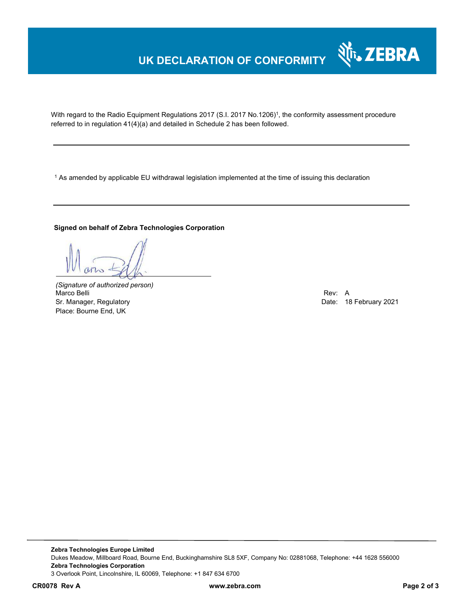# **UK DECLARATION OF CONFORMITY**



With regard to the Radio Equipment Regulations 2017 (S.I. 2017 No.1206)<sup>1</sup>, the conformity assessment procedure referred to in regulation 41(4)(a) and detailed in Schedule 2 has been followed.

 $^{\rm 1}$  As amended by applicable EU withdrawal legislation implemented at the time of issuing this declaration

### **Signed on behalf of Zebra Technologies Corporation**

*(Signature of authorized person)* Marco Belli Rev: A Sr. Manager, Regulatory **Date: 18 February 2021** Control of the Manager, Regulatory **Date: 18 February 2021** Place: Bourne End, UK